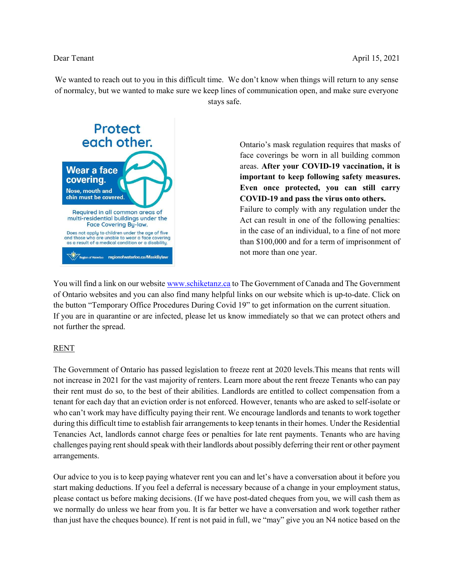We wanted to reach out to you in this difficult time. We don't know when things will return to any sense of normalcy, but we wanted to make sure we keep lines of communication open, and make sure everyone stays safe.



Ontario's mask regulation requires that masks of face coverings be worn in all building common areas. After your COVID-19 vaccination, it is important to keep following safety measures. Even once protected, you can still carry COVID-19 and pass the virus onto others. Failure to comply with any regulation under the Act can result in one of the following penalties: in the case of an individual, to a fine of not more than \$100,000 and for a term of imprisonment of not more than one year.

You will find a link on our website www.schiketanz.ca to The Government of Canada and The Government of Ontario websites and you can also find many helpful links on our website which is up-to-date. Click on the button "Temporary Office Procedures During Covid 19" to get information on the current situation. If you are in quarantine or are infected, please let us know immediately so that we can protect others and not further the spread.

## RENT

The Government of Ontario has passed legislation to freeze rent at 2020 levels.This means that rents will not increase in 2021 for the vast majority of renters. Learn more about the rent freeze Tenants who can pay their rent must do so, to the best of their abilities. Landlords are entitled to collect compensation from a tenant for each day that an eviction order is not enforced. However, tenants who are asked to self-isolate or who can't work may have difficulty paying their rent. We encourage landlords and tenants to work together during this difficult time to establish fair arrangements to keep tenants in their homes. Under the Residential Tenancies Act, landlords cannot charge fees or penalties for late rent payments. Tenants who are having challenges paying rent should speak with their landlords about possibly deferring their rent or other payment arrangements.

Our advice to you is to keep paying whatever rent you can and let's have a conversation about it before you start making deductions. If you feel a deferral is necessary because of a change in your employment status, please contact us before making decisions. (If we have post-dated cheques from you, we will cash them as we normally do unless we hear from you. It is far better we have a conversation and work together rather than just have the cheques bounce). If rent is not paid in full, we "may" give you an N4 notice based on the